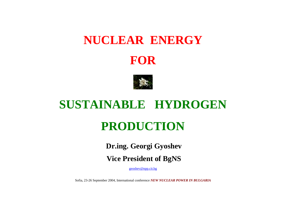#### **NUCLEAR ENERGY**





#### **SUSTAINABLE HYDROGEN**

#### **PRODUCTION**

 **Dr.ing. Georgi Gyoshev**

 **Vice President of BgNS**

geoshev@npp.cit.bg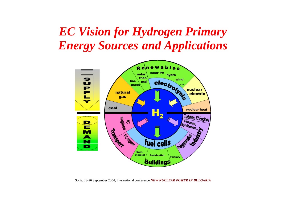## *EC Vision for Hydrogen Primary Energy Sources and Applications*



Sofia, 23-26 September 2004, International conference *NEW NUCLEAR POWER IN BULGARIA*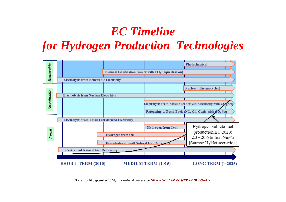# *EC Timeline for Hydrogen Production Technologies*



Sofia, 23-26 September 2004, International conference *NEW NUCLEAR POWER IN BULGARIA*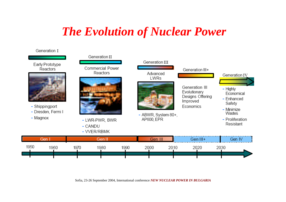#### *The Evolution of Nuclear Power*

#### Generation I Generation II Generation III Early Prototype Commercial Power Reactors Generation III+ Reactors Advanced Generation IV LWRs Generation III  $-$  Highly Evolutionary Economical Designs Offering - Enhanced Improved Safety - Shippingport Economics - Minimize - Dresden, Fermi I Wastes - ABWR, System 80+, - Magnox AP600, EPR - Proliferation - LWR-PWR, BWR Resistant - CANDU - VVER/RBMK Gen Gen<sub>II</sub> Gen III Gen III+ Gen IV 1950 1980 1960 1970 1990 2000 2010 2020 2030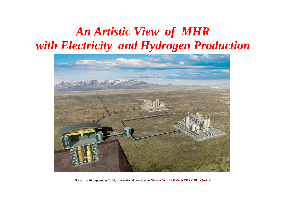## *An Artistic View of MHR with Electricity and Hydrogen Production*



Sofia, 23-26 September 2004, International conference *NEW NUCLEAR POWER IN BULGARIA*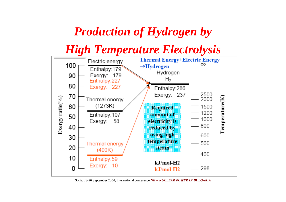#### *Production of Hydrogen by*

*High Temperature Electrolysis*



Sofia, 23-26 September 2004, International conference *NEW NUCLEAR POWER IN BULGARIA*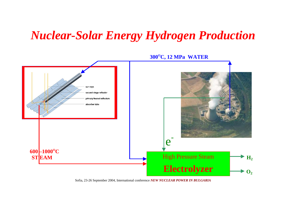#### *Nuclear-Solar Energy Hydrogen Production*



**300OC, 12 MPa WATER**

Sofia, 23-26 September 2004, International conference *NEW NUCLEAR POWER IN BULGARIA*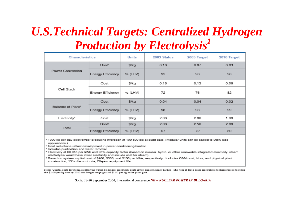# *U.S.Technical Targets: Centralized Hydrogen Production by Electrolysis<sup>1</sup>*

| <b>Characteristics</b>        |                   | Units   | 2003 Status | 2005 Target | 2010 Target |
|-------------------------------|-------------------|---------|-------------|-------------|-------------|
| Power Conversion              | Cost <sup>2</sup> | \$/kg   | 0.10        | 0.07        | 0.03        |
|                               | Energy Efficiency | % (LHV) | 95          | 96          | 98          |
| Cell Stack                    | Cost              | \$/kg   | 0.18        | 0.13        | 0.06        |
|                               | Energy Efficiency | % (LHV) | 72          | 76          | 82          |
| Balance of Plant <sup>3</sup> | Cost              | \$/kg   | 0.04        | 0.04        | 0.02        |
|                               | Energy Efficiency | % (LHV) | 98          | 98          | 99          |
| Electricity <sup>4</sup>      | Cost              | \$/kg   | 2.00        | 2.00        | 1.90        |
| Total                         | Cost <sup>5</sup> | \$/kg   | 2.80        | 2.50        | 2.00        |
|                               | Energy Efficiency | % (LHV) | 67          | 72          | 80          |

1000 kg per day electrolyzer producing hydrogen at 100-500 psi at plant gate. (Modular units can be scaled to utility size applications.)

<sup>2</sup> Cost reductions reflect development in power conditioning/control.

<sup>3</sup> Includes purification and water removal.

4 Electricity at \$0.045 per kWh and 95% capacity factor (based on nuclear, hydro, or other renewable integrated electricity, steam electrolysis would have lower electricity and include cost for steam).

<sup>5</sup> Based on system capital cost of \$400, \$300, and \$150 per kWe, respectively. Includes O&M cost, labor, and physical plant construction, 15% discount rate, 20-year equipment life.

Note: Capital costs for steam electrolysis would be higher, electricity costs lower, and efficiency higher. The goal of large scale electrolysis technologies is to reach the \$2.00 per kg cost by 2010 and longer range goal of \$1.50 per kg at the plant gate.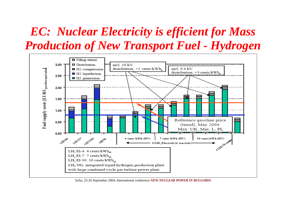## *EC: Nuclear Electricity is efficient for Mass Production of New Transport Fuel - Hydrogen*



Sofia, 23-26 September 2004, International conference *NEW NUCLEAR POWER IN BULGARIA*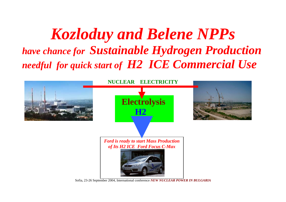*Kozloduy and Belene NPPs have chance for Sustainable Hydrogen Production needful for quick start of H2 ICE Commercial Use*

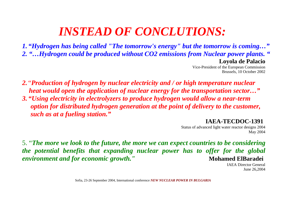#### *INSTEAD OF CONCLUTIONS:*

*1. "Hydrogen has being called "The tomorrow's energy" but the tomorrow is coming…" 2. "…Hydrogen could be produced without CO2 emissions from Nuclear power plants. "* **Loyola de Palacio**

Vice-President of the European Commission Brussels, 10 October 2002

- *2.* "*Production of hydrogen by nuclear electricity and / or high temperature nuclear heat would open the application of nuclear energy for the transportation sector…"*
- *3. "Using electricity in electrolyzers to produce hydrogen would allow a near-term option for distributed hydrogen generation at the point of delivery to the customer, such as at a fueling station."*

#### **IAEA-TECDOC-1391**

Status of advanced light water reactor designs 2004 May 2004

5. "*The more we look to the future, the more we can expect countries to be considering the potential benefits that expanding nuclear power has to offer for the global environment and for economic growth." Mohamed ElBaradei* 

IAEA Director GeneralJune 26,2004